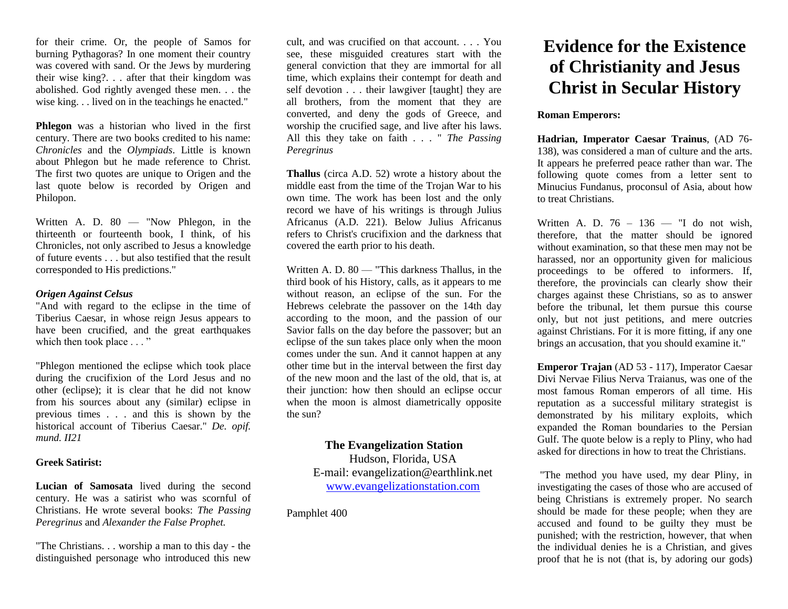for their crime. Or, the people of Samos for burning Pythagoras? In one moment their country was covered with sand. Or the Jews by murdering their wise king?. . . after that their kingdom was abolished. God rightly avenged these men. . . the wise king. . . lived on in the teachings he enacted."

**Phlegon** was a historian who lived in the first century. There are two books credited to his name: *Chronicles* and the *Olympiads*. Little is known about Phlegon but he made reference to Christ. The first two quotes are unique to Origen and the last quote below is recorded by Origen and Philopon.

Written A. D. 80 — "Now Phlegon, in the thirteenth or fourteenth book, I think, of his Chronicles, not only ascribed to Jesus a knowledge of future events . . . but also testified that the result corresponded to His predictions."

# *Origen Against Celsus*

"And with regard to the eclipse in the time of Tiberius Caesar, in whose reign Jesus appears to have been crucified, and the great earthquakes which then took place . . . "

"Phlegon mentioned the eclipse which took place during the crucifixion of the Lord Jesus and no other (eclipse); it is clear that he did not know from his sources about any (similar) eclipse in previous times . . . and this is shown by the historical account of Tiberius Caesar." *De. opif. mund. II21*

## **Greek Satirist:**

**Lucian of Samosata** lived during the second century. He was a satirist who was scornful of Christians. He wrote several books: *The Passing Peregrinus* and *Alexander the False Prophet.*

"The Christians. . . worship a man to this day - the distinguished personage who introduced this new

cult, and was crucified on that account. . . . You see, these misguided creatures start with the general conviction that they are immortal for all time, which explains their contempt for death and self devotion . . . their lawgiver [taught] they are all brothers, from the moment that they are converted, and deny the gods of Greece, and worship the crucified sage, and live after his laws. All this they take on faith . . . " *The Passing Peregrinus*

**Thallus** (circa A.D. 52) wrote a history about the middle east from the time of the Trojan War to his own time. The work has been lost and the only record we have of his writings is through Julius Africanus (A.D. 221). Below Julius Africanus refers to Christ's crucifixion and the darkness that covered the earth prior to his death.

Written A. D. 80 — "This darkness Thallus, in the third book of his History, calls, as it appears to me without reason, an eclipse of the sun. For the Hebrews celebrate the passover on the 14th day according to the moon, and the passion of our Savior falls on the day before the passover; but an eclipse of the sun takes place only when the moon comes under the sun. And it cannot happen at any other time but in the interval between the first day of the new moon and the last of the old, that is, at their junction: how then should an eclipse occur when the moon is almost diametrically opposite the sun?

# **The Evangelization Station**  Hudson, Florida, USA E-mail: evangelization@earthlink.net [www.evangelizationstation.com](http://www.pjpiisoe.org/)

Pamphlet 400

# **Evidence for the Existence of Christianity and Jesus Christ in Secular History**

# **Roman Emperors:**

**Hadrian, Imperator Caesar Trainus**, (AD 76- 138), was considered a man of culture and the arts. It appears he preferred peace rather than war. The following quote comes from a letter sent to Minucius Fundanus, proconsul of Asia, about how to treat Christians.

Written A. D.  $76 - 136 - 136$  ond wish, therefore, that the matter should be ignored without examination, so that these men may not be harassed, nor an opportunity given for malicious proceedings to be offered to informers. If, therefore, the provincials can clearly show their charges against these Christians, so as to answer before the tribunal, let them pursue this course only, but not just petitions, and mere outcries against Christians. For it is more fitting, if any one brings an accusation, that you should examine it."

**Emperor Trajan** (AD 53 - 117), Imperator Caesar Divi Nervae Filius Nerva Traianus, was one of the most famous Roman emperors of all time. His reputation as a successful military strategist is demonstrated by his military exploits, which expanded the Roman boundaries to the Persian Gulf. The quote below is a reply to Pliny, who had asked for directions in how to treat the Christians.

"The method you have used, my dear Pliny, in investigating the cases of those who are accused of being Christians is extremely proper. No search should be made for these people; when they are accused and found to be guilty they must be punished; with the restriction, however, that when the individual denies he is a Christian, and gives proof that he is not (that is, by adoring our gods)